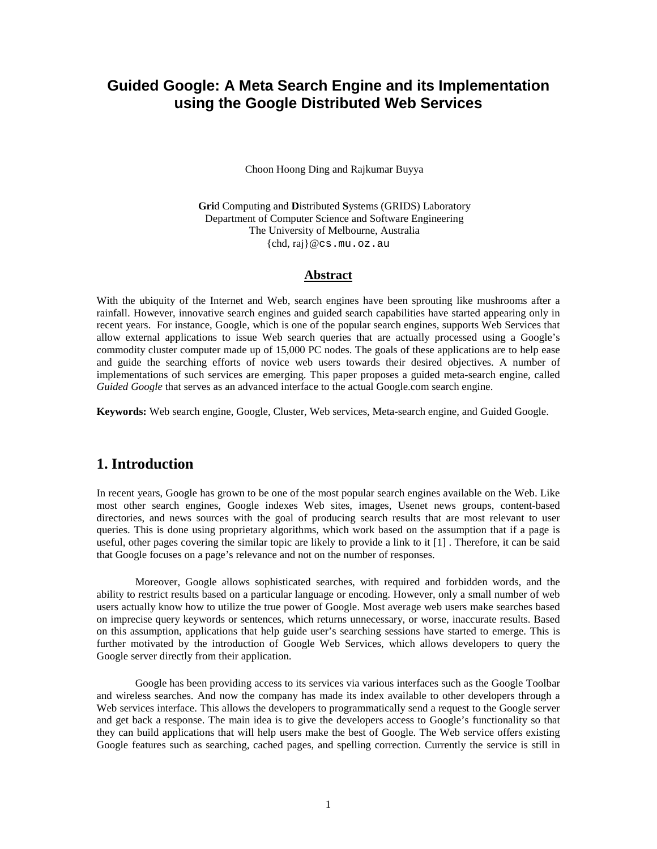# **Guided Google: A Meta Search Engine and its Implementation using the Google Distributed Web Services**

Choon Hoong Ding and Rajkumar Buyya

**Gri**d Computing and **D**istributed **S**ystems (GRIDS) Laboratory Department of Computer Science and Software Engineering The University of Melbourne, Australia {chd, raj}@cs.mu.oz.au

### **Abstract**

With the ubiquity of the Internet and Web, search engines have been sprouting like mushrooms after a rainfall. However, innovative search engines and guided search capabilities have started appearing only in recent years. For instance, Google, which is one of the popular search engines, supports Web Services that allow external applications to issue Web search queries that are actually processed using a Google's commodity cluster computer made up of 15,000 PC nodes. The goals of these applications are to help ease and guide the searching efforts of novice web users towards their desired objectives. A number of implementations of such services are emerging. This paper proposes a guided meta-search engine, called *Guided Google* that serves as an advanced interface to the actual Google.com search engine.

**Keywords:** Web search engine, Google, Cluster, Web services, Meta-search engine, and Guided Google.

### **1. Introduction**

In recent years, Google has grown to be one of the most popular search engines available on the Web. Like most other search engines, Google indexes Web sites, images, Usenet news groups, content-based directories, and news sources with the goal of producing search results that are most relevant to user queries. This is done using proprietary algorithms, which work based on the assumption that if a page is useful, other pages covering the similar topic are likely to provide a link to it [1] . Therefore, it can be said that Google focuses on a page's relevance and not on the number of responses.

Moreover, Google allows sophisticated searches, with required and forbidden words, and the ability to restrict results based on a particular language or encoding. However, only a small number of web users actually know how to utilize the true power of Google. Most average web users make searches based on imprecise query keywords or sentences, which returns unnecessary, or worse, inaccurate results. Based on this assumption, applications that help guide user's searching sessions have started to emerge. This is further motivated by the introduction of Google Web Services, which allows developers to query the Google server directly from their application.

Google has been providing access to its services via various interfaces such as the Google Toolbar and wireless searches. And now the company has made its index available to other developers through a Web services interface. This allows the developers to programmatically send a request to the Google server and get back a response. The main idea is to give the developers access to Google's functionality so that they can build applications that will help users make the best of Google. The Web service offers existing Google features such as searching, cached pages, and spelling correction. Currently the service is still in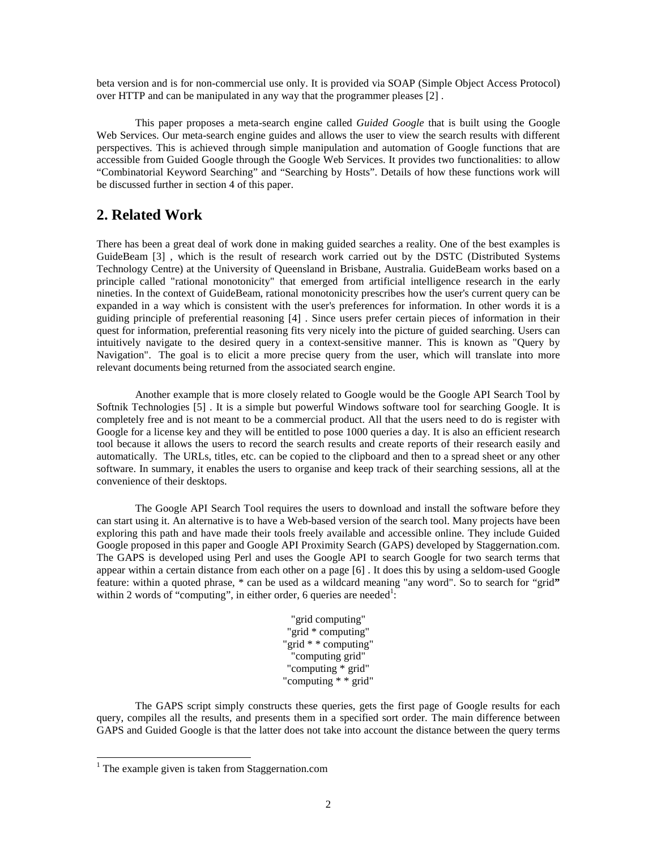beta version and is for non-commercial use only. It is provided via SOAP (Simple Object Access Protocol) over HTTP and can be manipulated in any way that the programmer pleases [2] .

This paper proposes a meta-search engine called *Guided Google* that is built using the Google Web Services. Our meta-search engine guides and allows the user to view the search results with different perspectives. This is achieved through simple manipulation and automation of Google functions that are accessible from Guided Google through the Google Web Services. It provides two functionalities: to allow "Combinatorial Keyword Searching" and "Searching by Hosts". Details of how these functions work will be discussed further in section 4 of this paper.

## **2. Related Work**

There has been a great deal of work done in making guided searches a reality. One of the best examples is GuideBeam [3] , which is the result of research work carried out by the DSTC (Distributed Systems Technology Centre) at the University of Queensland in Brisbane, Australia. GuideBeam works based on a principle called "rational monotonicity" that emerged from artificial intelligence research in the early nineties. In the context of GuideBeam, rational monotonicity prescribes how the user's current query can be expanded in a way which is consistent with the user's preferences for information. In other words it is a guiding principle of preferential reasoning [4] . Since users prefer certain pieces of information in their quest for information, preferential reasoning fits very nicely into the picture of guided searching. Users can intuitively navigate to the desired query in a context-sensitive manner. This is known as "Query by Navigation". The goal is to elicit a more precise query from the user, which will translate into more relevant documents being returned from the associated search engine.

Another example that is more closely related to Google would be the Google API Search Tool by Softnik Technologies [5] . It is a simple but powerful Windows software tool for searching Google. It is completely free and is not meant to be a commercial product. All that the users need to do is register with Google for a license key and they will be entitled to pose 1000 queries a day. It is also an efficient research tool because it allows the users to record the search results and create reports of their research easily and automatically. The URLs, titles, etc. can be copied to the clipboard and then to a spread sheet or any other software. In summary, it enables the users to organise and keep track of their searching sessions, all at the convenience of their desktops.

The Google API Search Tool requires the users to download and install the software before they can start using it. An alternative is to have a Web-based version of the search tool. Many projects have been exploring this path and have made their tools freely available and accessible online. They include Guided Google proposed in this paper and Google API Proximity Search (GAPS) developed by Staggernation.com. The GAPS is developed using Perl and uses the Google API to search Google for two search terms that appear within a certain distance from each other on a page [6] . It does this by using a seldom-used Google feature: within a quoted phrase, \* can be used as a wildcard meaning "any word". So to search for "grid**"** within 2 words of "computing", in either order, 6 queries are needed<sup>1</sup>:

> "grid computing" "grid \* computing" "grid \* \* computing" "computing grid" "computing \* grid" "computing \* \* grid"

The GAPS script simply constructs these queries, gets the first page of Google results for each query, compiles all the results, and presents them in a specified sort order. The main difference between GAPS and Guided Google is that the latter does not take into account the distance between the query terms

 $\overline{a}$ 

 $1$  The example given is taken from Staggernation.com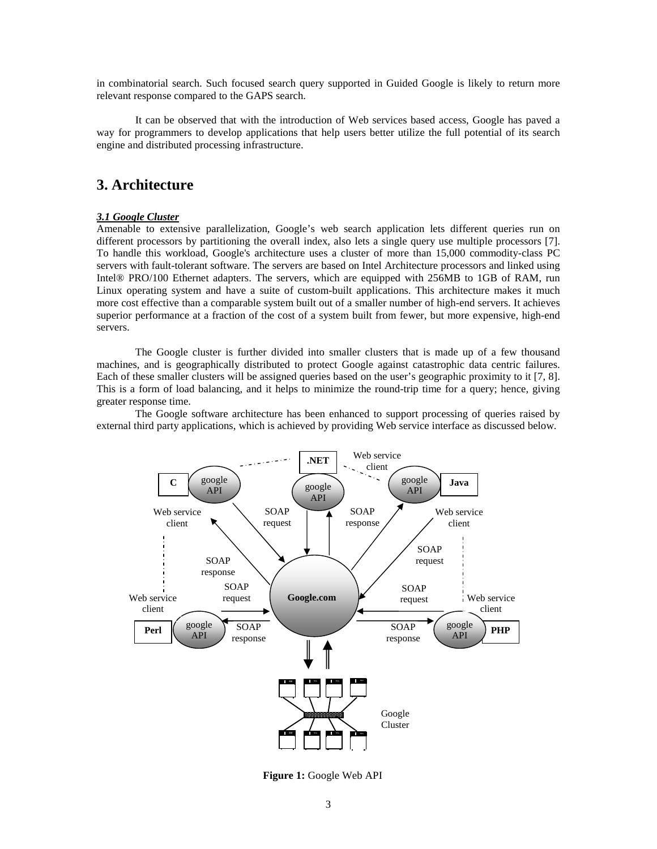in combinatorial search. Such focused search query supported in Guided Google is likely to return more relevant response compared to the GAPS search.

It can be observed that with the introduction of Web services based access, Google has paved a way for programmers to develop applications that help users better utilize the full potential of its search engine and distributed processing infrastructure.

## **3. Architecture**

#### *3.1 Google Cluster*

Amenable to extensive parallelization, Google's web search application lets different queries run on different processors by partitioning the overall index, also lets a single query use multiple processors [7]. To handle this workload, Google's architecture uses a cluster of more than 15,000 commodity-class PC servers with fault-tolerant software. The servers are based on Intel Architecture processors and linked using Intel® PRO/100 Ethernet adapters. The servers, which are equipped with 256MB to 1GB of RAM, run Linux operating system and have a suite of custom-built applications. This architecture makes it much more cost effective than a comparable system built out of a smaller number of high-end servers. It achieves superior performance at a fraction of the cost of a system built from fewer, but more expensive, high-end servers.

The Google cluster is further divided into smaller clusters that is made up of a few thousand machines, and is geographically distributed to protect Google against catastrophic data centric failures. Each of these smaller clusters will be assigned queries based on the user's geographic proximity to it [7, 8]. This is a form of load balancing, and it helps to minimize the round-trip time for a query; hence, giving greater response time.

The Google software architecture has been enhanced to support processing of queries raised by external third party applications, which is achieved by providing Web service interface as discussed below.



**Figure 1:** Google Web API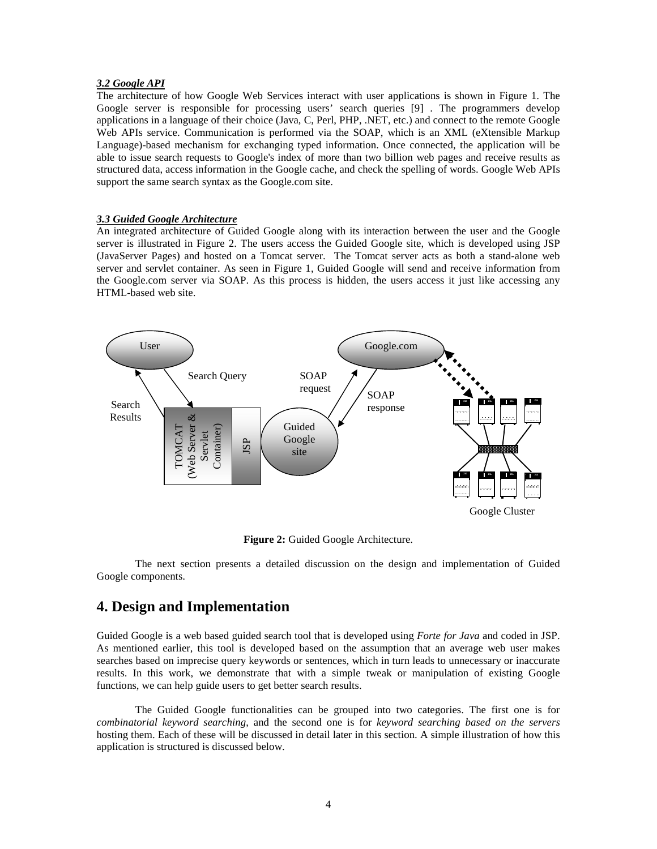#### *3.2 Google API*

The architecture of how Google Web Services interact with user applications is shown in Figure 1. The Google server is responsible for processing users' search queries [9] . The programmers develop applications in a language of their choice (Java, C, Perl, PHP, .NET, etc.) and connect to the remote Google Web APIs service. Communication is performed via the SOAP, which is an XML (eXtensible Markup Language)-based mechanism for exchanging typed information. Once connected, the application will be able to issue search requests to Google's index of more than two billion web pages and receive results as structured data, access information in the Google cache, and check the spelling of words. Google Web APIs support the same search syntax as the Google.com site.

#### *3.3 Guided Google Architecture*

An integrated architecture of Guided Google along with its interaction between the user and the Google server is illustrated in Figure 2. The users access the Guided Google site, which is developed using JSP (JavaServer Pages) and hosted on a Tomcat server. The Tomcat server acts as both a stand-alone web server and servlet container. As seen in Figure 1, Guided Google will send and receive information from the Google.com server via SOAP. As this process is hidden, the users access it just like accessing any HTML-based web site.



**Figure 2:** Guided Google Architecture.

The next section presents a detailed discussion on the design and implementation of Guided Google components.

## **4. Design and Implementation**

Guided Google is a web based guided search tool that is developed using *Forte for Java* and coded in JSP. As mentioned earlier, this tool is developed based on the assumption that an average web user makes searches based on imprecise query keywords or sentences, which in turn leads to unnecessary or inaccurate results. In this work, we demonstrate that with a simple tweak or manipulation of existing Google functions, we can help guide users to get better search results.

The Guided Google functionalities can be grouped into two categories. The first one is for *combinatorial keyword searching*, and the second one is for *keyword searching based on the servers* hosting them. Each of these will be discussed in detail later in this section. A simple illustration of how this application is structured is discussed below.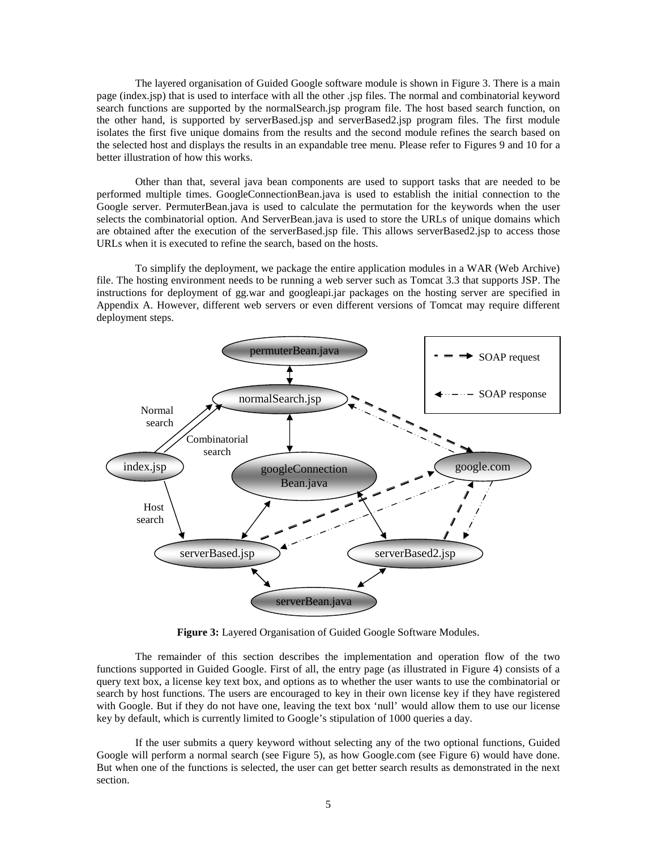The layered organisation of Guided Google software module is shown in Figure 3. There is a main page (index.jsp) that is used to interface with all the other .jsp files. The normal and combinatorial keyword search functions are supported by the normalSearch.jsp program file. The host based search function, on the other hand, is supported by serverBased.jsp and serverBased2.jsp program files. The first module isolates the first five unique domains from the results and the second module refines the search based on the selected host and displays the results in an expandable tree menu. Please refer to Figures 9 and 10 for a better illustration of how this works.

Other than that, several java bean components are used to support tasks that are needed to be performed multiple times. GoogleConnectionBean.java is used to establish the initial connection to the Google server. PermuterBean.java is used to calculate the permutation for the keywords when the user selects the combinatorial option. And ServerBean.java is used to store the URLs of unique domains which are obtained after the execution of the serverBased.jsp file. This allows serverBased2.jsp to access those URLs when it is executed to refine the search, based on the hosts.

To simplify the deployment, we package the entire application modules in a WAR (Web Archive) file. The hosting environment needs to be running a web server such as Tomcat 3.3 that supports JSP. The instructions for deployment of gg.war and googleapi.jar packages on the hosting server are specified in Appendix A. However, different web servers or even different versions of Tomcat may require different deployment steps.



**Figure 3:** Layered Organisation of Guided Google Software Modules.

The remainder of this section describes the implementation and operation flow of the two functions supported in Guided Google. First of all, the entry page (as illustrated in Figure 4) consists of a query text box, a license key text box, and options as to whether the user wants to use the combinatorial or search by host functions. The users are encouraged to key in their own license key if they have registered with Google. But if they do not have one, leaving the text box 'null' would allow them to use our license key by default, which is currently limited to Google's stipulation of 1000 queries a day.

If the user submits a query keyword without selecting any of the two optional functions, Guided Google will perform a normal search (see Figure 5), as how Google.com (see Figure 6) would have done. But when one of the functions is selected, the user can get better search results as demonstrated in the next section.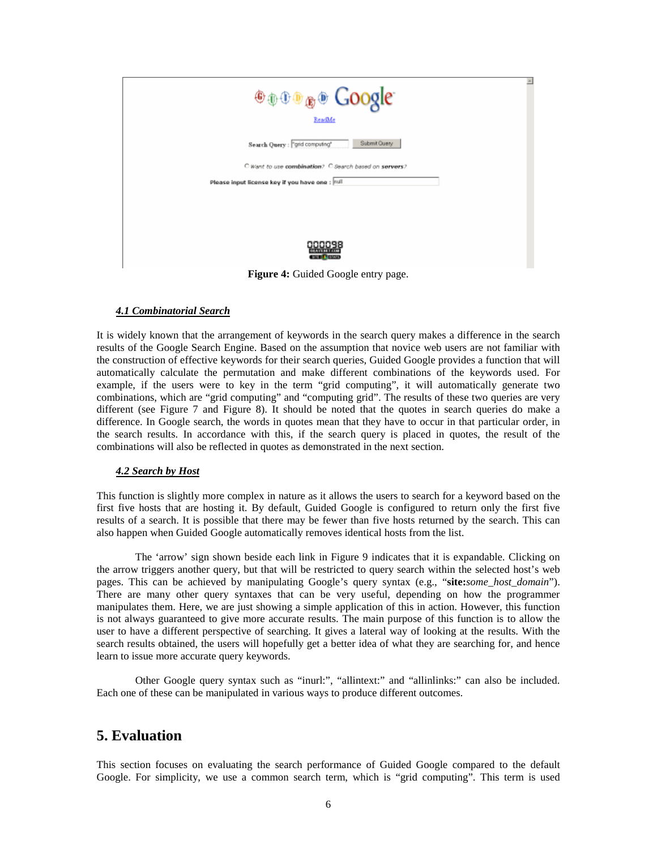| <b>ODDD OOOSE</b>                                     |
|-------------------------------------------------------|
| ReadMe                                                |
| Submit Query<br>Search Query : "grid computing"       |
| C Want to use combination? C Search based on servers? |
| Please input license key if you have one : null       |
|                                                       |
|                                                       |
| 300098<br><b>CONTRACTOR</b>                           |

**Figure 4:** Guided Google entry page.

### *4.1 Combinatorial Search*

It is widely known that the arrangement of keywords in the search query makes a difference in the search results of the Google Search Engine. Based on the assumption that novice web users are not familiar with the construction of effective keywords for their search queries, Guided Google provides a function that will automatically calculate the permutation and make different combinations of the keywords used. For example, if the users were to key in the term "grid computing", it will automatically generate two combinations, which are "grid computing" and "computing grid". The results of these two queries are very different (see Figure 7 and Figure 8). It should be noted that the quotes in search queries do make a difference. In Google search, the words in quotes mean that they have to occur in that particular order, in the search results. In accordance with this, if the search query is placed in quotes, the result of the combinations will also be reflected in quotes as demonstrated in the next section.

### *4.2 Search by Host*

This function is slightly more complex in nature as it allows the users to search for a keyword based on the first five hosts that are hosting it. By default, Guided Google is configured to return only the first five results of a search. It is possible that there may be fewer than five hosts returned by the search. This can also happen when Guided Google automatically removes identical hosts from the list.

The 'arrow' sign shown beside each link in Figure 9 indicates that it is expandable. Clicking on the arrow triggers another query, but that will be restricted to query search within the selected host's web pages. This can be achieved by manipulating Google's query syntax (e.g., "**site:***some\_host\_domain*"). There are many other query syntaxes that can be very useful, depending on how the programmer manipulates them. Here, we are just showing a simple application of this in action. However, this function is not always guaranteed to give more accurate results. The main purpose of this function is to allow the user to have a different perspective of searching. It gives a lateral way of looking at the results. With the search results obtained, the users will hopefully get a better idea of what they are searching for, and hence learn to issue more accurate query keywords.

Other Google query syntax such as "inurl:", "allintext:" and "allinlinks:" can also be included. Each one of these can be manipulated in various ways to produce different outcomes.

# **5. Evaluation**

This section focuses on evaluating the search performance of Guided Google compared to the default Google. For simplicity, we use a common search term, which is "grid computing". This term is used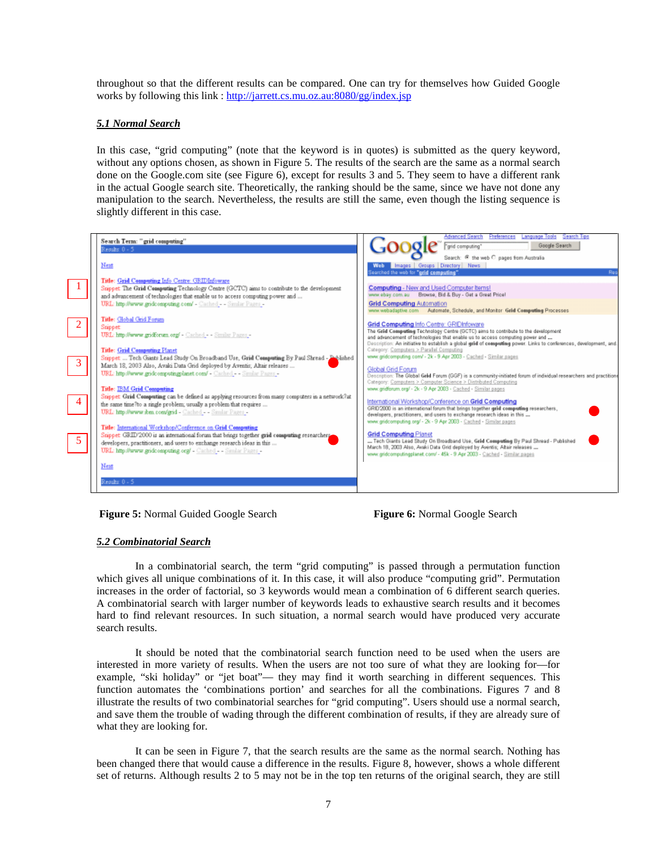throughout so that the different results can be compared. One can try for themselves how Guided Google works by following this link : http://jarrett.cs.mu.oz.au:8080/gg/index.jsp

### *5.1 Normal Search*

In this case, "grid computing" (note that the keyword is in quotes) is submitted as the query keyword, without any options chosen, as shown in Figure 5. The results of the search are the same as a normal search done on the Google.com site (see Figure 6), except for results 3 and 5. They seem to have a different rank in the actual Google search site. Theoretically, the ranking should be the same, since we have not done any manipulation to the search. Nevertheless, the results are still the same, even though the listing sequence is slightly different in this case.







#### *5.2 Combinatorial Search*

In a combinatorial search, the term "grid computing" is passed through a permutation function which gives all unique combinations of it. In this case, it will also produce "computing grid". Permutation increases in the order of factorial, so 3 keywords would mean a combination of 6 different search queries. A combinatorial search with larger number of keywords leads to exhaustive search results and it becomes hard to find relevant resources. In such situation, a normal search would have produced very accurate search results.

It should be noted that the combinatorial search function need to be used when the users are interested in more variety of results. When the users are not too sure of what they are looking for—for example, "ski holiday" or "jet boat"— they may find it worth searching in different sequences. This function automates the 'combinations portion' and searches for all the combinations. Figures 7 and 8 illustrate the results of two combinatorial searches for "grid computing". Users should use a normal search, and save them the trouble of wading through the different combination of results, if they are already sure of what they are looking for.

It can be seen in Figure 7, that the search results are the same as the normal search. Nothing has been changed there that would cause a difference in the results. Figure 8, however, shows a whole different set of returns. Although results 2 to 5 may not be in the top ten returns of the original search, they are still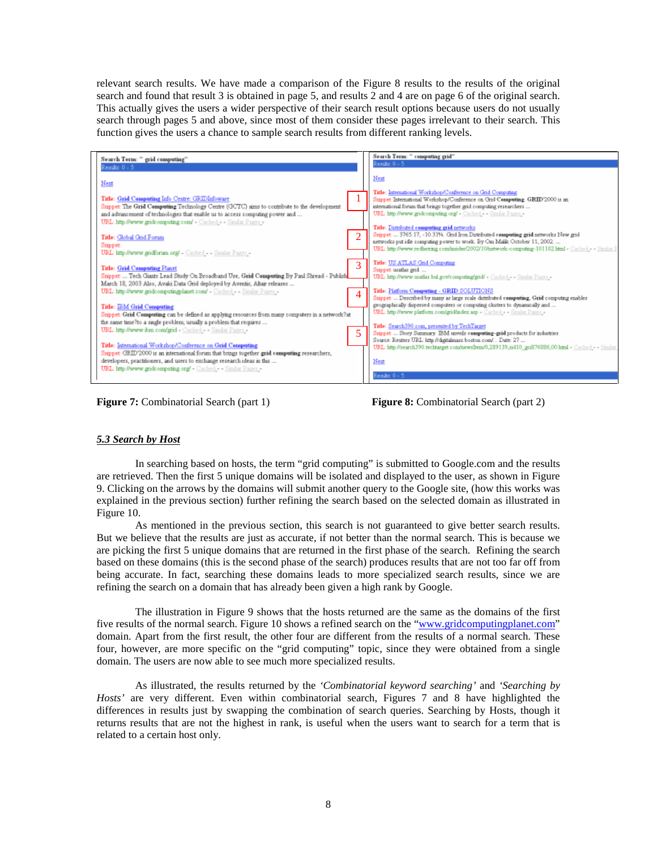relevant search results. We have made a comparison of the Figure 8 results to the results of the original search and found that result 3 is obtained in page 5, and results 2 and 4 are on page 6 of the original search. This actually gives the users a wider perspective of their search result options because users do not usually search through pages 5 and above, since most of them consider these pages irrelevant to their search. This function gives the users a chance to sample search results from different ranking levels.



**Figure 7:** Combinatorial Search (part 1) **Figure 8:** Combinatorial Search (part 2)

### *5.3 Search by Host*

In searching based on hosts, the term "grid computing" is submitted to Google.com and the results are retrieved. Then the first 5 unique domains will be isolated and displayed to the user, as shown in Figure 9. Clicking on the arrows by the domains will submit another query to the Google site, (how this works was explained in the previous section) further refining the search based on the selected domain as illustrated in Figure 10.

As mentioned in the previous section, this search is not guaranteed to give better search results. But we believe that the results are just as accurate, if not better than the normal search. This is because we are picking the first 5 unique domains that are returned in the first phase of the search. Refining the search based on these domains (this is the second phase of the search) produces results that are not too far off from being accurate. In fact, searching these domains leads to more specialized search results, since we are refining the search on a domain that has already been given a high rank by Google.

The illustration in Figure 9 shows that the hosts returned are the same as the domains of the first five results of the normal search. Figure 10 shows a refined search on the "www.gridcomputingplanet.com" domain. Apart from the first result, the other four are different from the results of a normal search. These four, however, are more specific on the "grid computing" topic, since they were obtained from a single domain. The users are now able to see much more specialized results.

As illustrated, the results returned by the *'Combinatorial keyword searching'* and *'Searching by Hosts'* are very different. Even within combinatorial search, Figures 7 and 8 have highlighted the differences in results just by swapping the combination of search queries. Searching by Hosts, though it returns results that are not the highest in rank, is useful when the users want to search for a term that is related to a certain host only.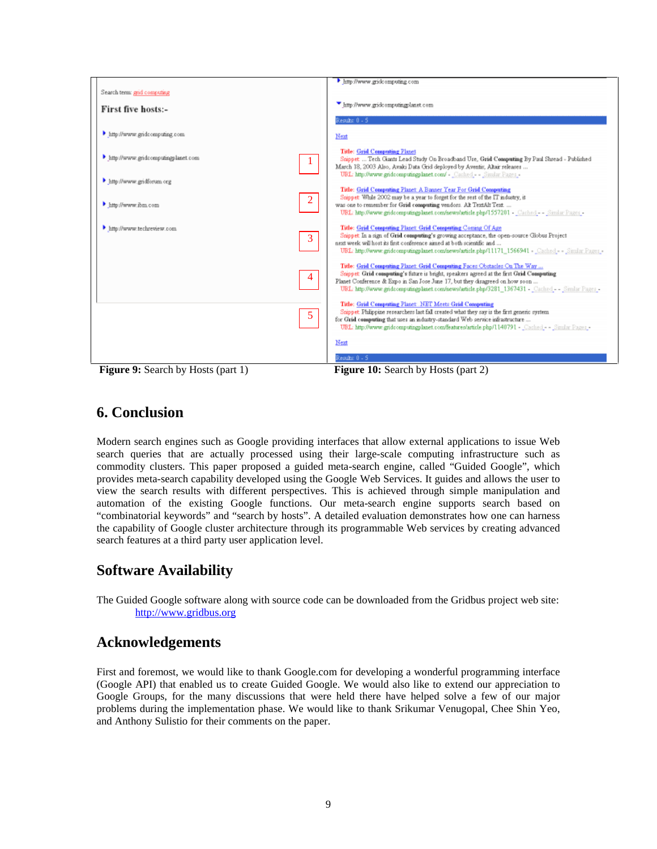

# **6. Conclusion**

Modern search engines such as Google providing interfaces that allow external applications to issue Web search queries that are actually processed using their large-scale computing infrastructure such as commodity clusters. This paper proposed a guided meta-search engine, called "Guided Google", which provides meta-search capability developed using the Google Web Services. It guides and allows the user to view the search results with different perspectives. This is achieved through simple manipulation and automation of the existing Google functions. Our meta-search engine supports search based on "combinatorial keywords" and "search by hosts". A detailed evaluation demonstrates how one can harness the capability of Google cluster architecture through its programmable Web services by creating advanced search features at a third party user application level.

# **Software Availability**

The Guided Google software along with source code can be downloaded from the Gridbus project web site: http://www.gridbus.org

## **Acknowledgements**

First and foremost, we would like to thank Google.com for developing a wonderful programming interface (Google API) that enabled us to create Guided Google. We would also like to extend our appreciation to Google Groups, for the many discussions that were held there have helped solve a few of our major problems during the implementation phase. We would like to thank Srikumar Venugopal, Chee Shin Yeo, and Anthony Sulistio for their comments on the paper.